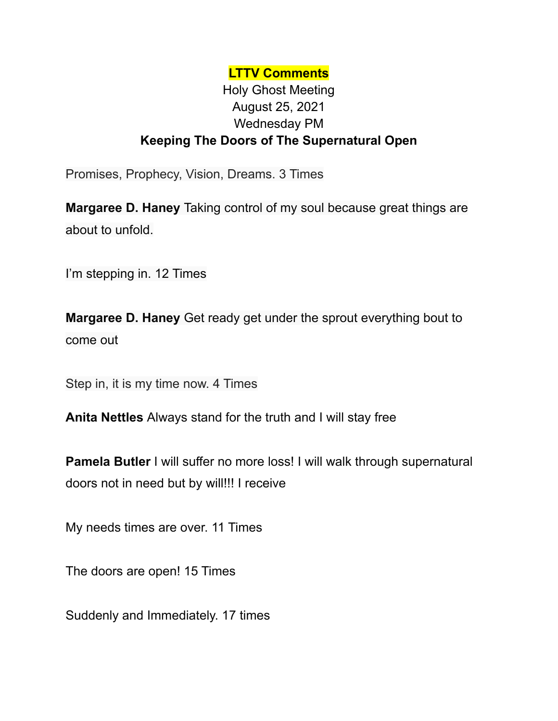## **LTTV Comments**

## Holy Ghost Meeting August 25, 2021 Wednesday PM **Keeping The Doors of The Supernatural Open**

Promises, Prophecy, Vision, Dreams. 3 Times

**Margaree D. Haney** Taking control of my soul because great things are about to unfold.

I'm stepping in. 12 Times

**Margaree D. Haney** Get ready get under the sprout everything bout to come out

Step in, it is my time now. 4 Times

**Anita Nettles** Always stand for the truth and I will stay free

**Pamela Butler** I will suffer no more loss! I will walk through supernatural doors not in need but by will!!! I receive

My needs times are over. 11 Times

The doors are open! 15 Times

Suddenly and Immediately. 17 times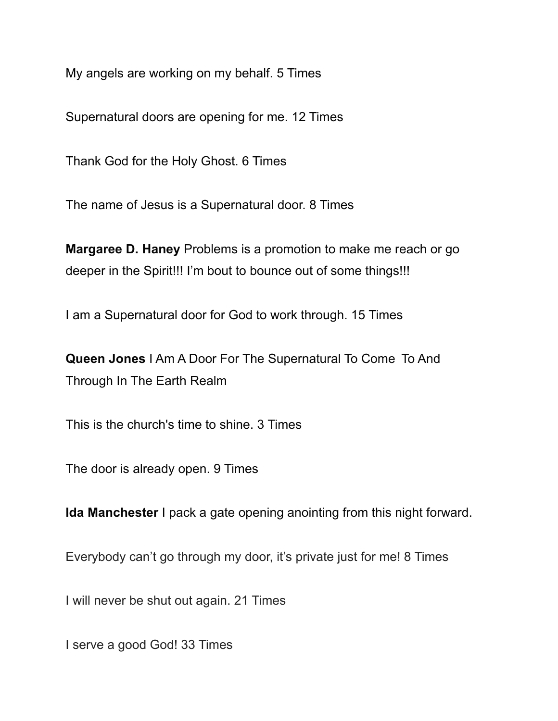My angels are working on my behalf. 5 Times

Supernatural doors are opening for me. 12 Times

Thank God for the Holy Ghost. 6 Times

The name of Jesus is a Supernatural door. 8 Times

**Margaree D. Haney** Problems is a promotion to make me reach or go deeper in the Spirit!!! I'm bout to bounce out of some things!!!

I am a Supernatural door for God to work through. 15 Times

**Queen Jones** I Am A Door For The Supernatural To Come To And Through In The Earth Realm

This is the church's time to shine. 3 Times

The door is already open. 9 Times

**Ida Manchester** I pack a gate opening anointing from this night forward.

Everybody can't go through my door, it's private just for me! 8 Times

I will never be shut out again. 21 Times

I serve a good God! 33 Times